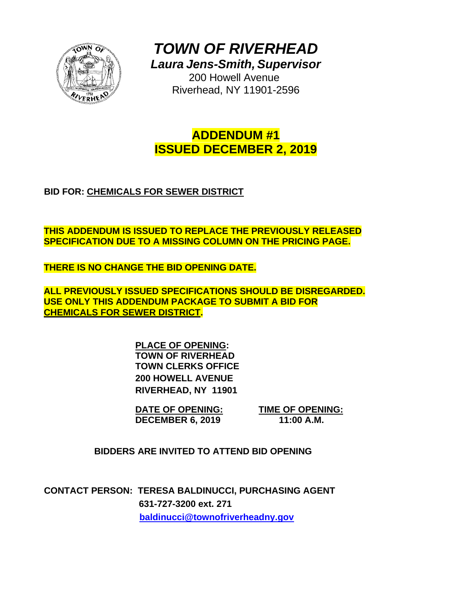

*TOWN OF RIVERHEAD Laura Jens-Smith, Supervisor*

> 200 Howell Avenue Riverhead, NY 11901-2596

# **ADDENDUM #1 ISSUED DECEMBER 2, 2019**

# **BID FOR: CHEMICALS FOR SEWER DISTRICT**

**THIS ADDENDUM IS ISSUED TO REPLACE THE PREVIOUSLY RELEASED SPECIFICATION DUE TO A MISSING COLUMN ON THE PRICING PAGE.** 

**THERE IS NO CHANGE THE BID OPENING DATE.** 

**ALL PREVIOUSLY ISSUED SPECIFICATIONS SHOULD BE DISREGARDED. USE ONLY THIS ADDENDUM PACKAGE TO SUBMIT A BID FOR CHEMICALS FOR SEWER DISTRICT.** 

> **PLACE OF OPENING: TOWN OF RIVERHEAD TOWN CLERKS OFFICE 200 HOWELL AVENUE RIVERHEAD, NY 11901**

**DATE OF OPENING: TIME OF OPENING: DECEMBER 6, 2019 11:00 A.M.** 

**BIDDERS ARE INVITED TO ATTEND BID OPENING**

**CONTACT PERSON: TERESA BALDINUCCI, PURCHASING AGENT 631-727-3200 ext. 271 baldinucci@townofriverheadny.gov**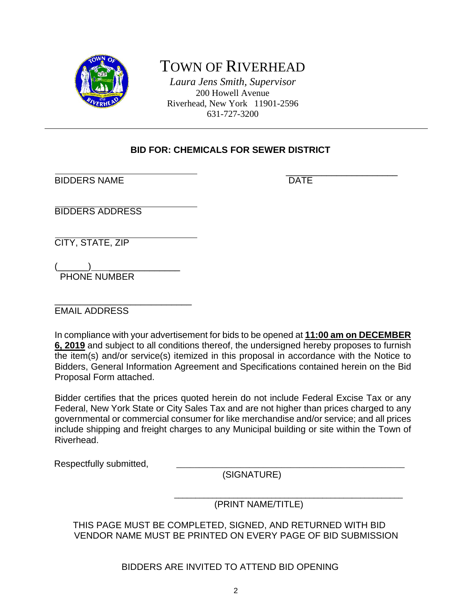

# TOWN OF RIVERHEAD

*Laura Jens Smith, Supervisor* 200 Howell Avenue Riverhead, New York 11901-2596 631-727-3200

# **BID FOR: CHEMICALS FOR SEWER DISTRICT**

\_\_\_\_\_\_\_\_\_\_\_\_\_\_\_\_\_\_\_\_\_\_ BIDDERS NAME DATE

BIDDERS ADDRESS

CITY, STATE, ZIP

 $(\_\_)$ PHONE NUMBER

\_\_\_\_\_\_\_\_\_\_\_\_\_\_\_\_\_\_\_\_\_\_\_\_\_\_\_ EMAIL ADDRESS

In compliance with your advertisement for bids to be opened at **11:00 am on DECEMBER 6, 2019** and subject to all conditions thereof, the undersigned hereby proposes to furnish the item(s) and/or service(s) itemized in this proposal in accordance with the Notice to Bidders, General Information Agreement and Specifications contained herein on the Bid Proposal Form attached.

Bidder certifies that the prices quoted herein do not include Federal Excise Tax or any Federal, New York State or City Sales Tax and are not higher than prices charged to any governmental or commercial consumer for like merchandise and/or service; and all prices include shipping and freight charges to any Municipal building or site within the Town of Riverhead.

Respectfully submitted,

(SIGNATURE)

 $\overline{\phantom{a}}$  , and the contract of the contract of the contract of the contract of the contract of the contract of the contract of the contract of the contract of the contract of the contract of the contract of the contrac (PRINT NAME/TITLE)

 THIS PAGE MUST BE COMPLETED, SIGNED, AND RETURNED WITH BID VENDOR NAME MUST BE PRINTED ON EVERY PAGE OF BID SUBMISSION

BIDDERS ARE INVITED TO ATTEND BID OPENING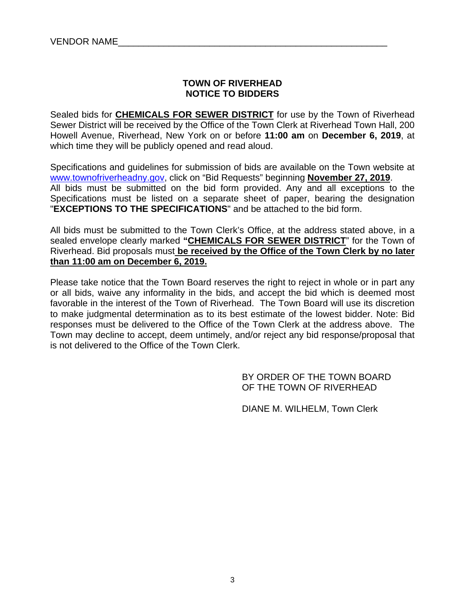# **TOWN OF RIVERHEAD NOTICE TO BIDDERS**

Sealed bids for **CHEMICALS FOR SEWER DISTRICT** for use by the Town of Riverhead Sewer District will be received by the Office of the Town Clerk at Riverhead Town Hall, 200 Howell Avenue, Riverhead, New York on or before **11:00 am** on **December 6, 2019**, at which time they will be publicly opened and read aloud.

Specifications and guidelines for submission of bids are available on the Town website at www.townofriverheadny.gov, click on "Bid Requests" beginning **November 27, 2019**. All bids must be submitted on the bid form provided. Any and all exceptions to the Specifications must be listed on a separate sheet of paper, bearing the designation "**EXCEPTIONS TO THE SPECIFICATIONS**" and be attached to the bid form.

All bids must be submitted to the Town Clerk's Office, at the address stated above, in a sealed envelope clearly marked **"CHEMICALS FOR SEWER DISTRICT**" for the Town of Riverhead. Bid proposals must **be received by the Office of the Town Clerk by no later than 11:00 am on December 6, 2019.** 

Please take notice that the Town Board reserves the right to reject in whole or in part any or all bids, waive any informality in the bids, and accept the bid which is deemed most favorable in the interest of the Town of Riverhead. The Town Board will use its discretion to make judgmental determination as to its best estimate of the lowest bidder. Note: Bid responses must be delivered to the Office of the Town Clerk at the address above. The Town may decline to accept, deem untimely, and/or reject any bid response/proposal that is not delivered to the Office of the Town Clerk.

> BY ORDER OF THE TOWN BOARD OF THE TOWN OF RIVERHEAD

DIANE M. WILHELM, Town Clerk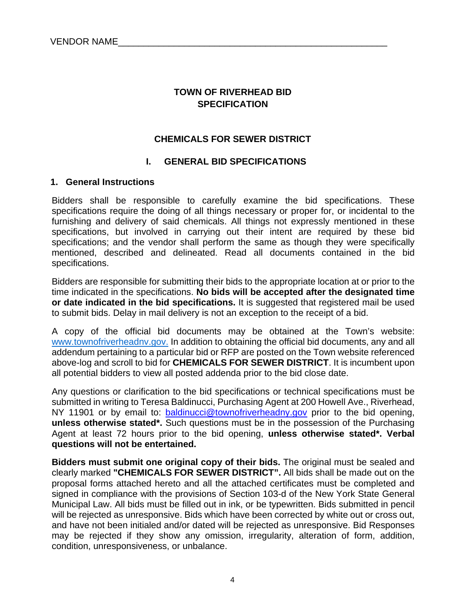# **TOWN OF RIVERHEAD BID SPECIFICATION**

## **CHEMICALS FOR SEWER DISTRICT**

#### **I. GENERAL BID SPECIFICATIONS**

#### **1. General Instructions**

Bidders shall be responsible to carefully examine the bid specifications. These specifications require the doing of all things necessary or proper for, or incidental to the furnishing and delivery of said chemicals. All things not expressly mentioned in these specifications, but involved in carrying out their intent are required by these bid specifications; and the vendor shall perform the same as though they were specifically mentioned, described and delineated. Read all documents contained in the bid specifications.

Bidders are responsible for submitting their bids to the appropriate location at or prior to the time indicated in the specifications. **No bids will be accepted after the designated time or date indicated in the bid specifications.** It is suggested that registered mail be used to submit bids. Delay in mail delivery is not an exception to the receipt of a bid.

A copy of the official bid documents may be obtained at the Town's website: www.townofriverheadnv.gov. In addition to obtaining the official bid documents, any and all addendum pertaining to a particular bid or RFP are posted on the Town website referenced above-log and scroll to bid for **CHEMICALS FOR SEWER DISTRICT**. It is incumbent upon all potential bidders to view all posted addenda prior to the bid close date.

Any questions or clarification to the bid specifications or technical specifications must be submitted in writing to Teresa Baldinucci, Purchasing Agent at 200 Howell Ave., Riverhead, NY 11901 or by email to: baldinucci@townofriverheadny.gov prior to the bid opening, **unless otherwise stated\*.** Such questions must be in the possession of the Purchasing Agent at least 72 hours prior to the bid opening, **unless otherwise stated\*. Verbal questions will not be entertained.** 

**Bidders must submit one original copy of their bids.** The original must be sealed and clearly marked **"CHEMICALS FOR SEWER DISTRICT".** All bids shall be made out on the proposal forms attached hereto and all the attached certificates must be completed and signed in compliance with the provisions of Section 103-d of the New York State General Municipal Law. All bids must be filled out in ink, or be typewritten. Bids submitted in pencil will be rejected as unresponsive. Bids which have been corrected by white out or cross out, and have not been initialed and/or dated will be rejected as unresponsive. Bid Responses may be rejected if they show any omission, irregularity, alteration of form, addition, condition, unresponsiveness, or unbalance.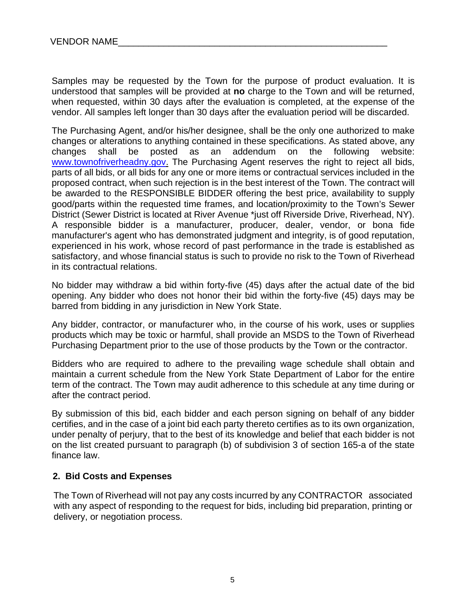Samples may be requested by the Town for the purpose of product evaluation. It is understood that samples will be provided at **no** charge to the Town and will be returned, when requested, within 30 days after the evaluation is completed, at the expense of the vendor. All samples left longer than 30 days after the evaluation period will be discarded.

The Purchasing Agent, and/or his/her designee, shall be the only one authorized to make changes or alterations to anything contained in these specifications. As stated above, any changes shall be posted as an addendum on the following website: www.townofriverheadny.gov. The Purchasing Agent reserves the right to reject all bids, parts of all bids, or all bids for any one or more items or contractual services included in the proposed contract, when such rejection is in the best interest of the Town. The contract will be awarded to the RESPONSIBLE BIDDER offering the best price, availability to supply good/parts within the requested time frames, and location/proximity to the Town's Sewer District (Sewer District is located at River Avenue \*just off Riverside Drive, Riverhead, NY). A responsible bidder is a manufacturer, producer, dealer, vendor, or bona fide manufacturer's agent who has demonstrated judgment and integrity, is of good reputation, experienced in his work, whose record of past performance in the trade is established as satisfactory, and whose financial status is such to provide no risk to the Town of Riverhead in its contractual relations.

No bidder may withdraw a bid within forty-five (45) days after the actual date of the bid opening. Any bidder who does not honor their bid within the forty-five (45) days may be barred from bidding in any jurisdiction in New York State.

Any bidder, contractor, or manufacturer who, in the course of his work, uses or supplies products which may be toxic or harmful, shall provide an MSDS to the Town of Riverhead Purchasing Department prior to the use of those products by the Town or the contractor.

Bidders who are required to adhere to the prevailing wage schedule shall obtain and maintain a current schedule from the New York State Department of Labor for the entire term of the contract. The Town may audit adherence to this schedule at any time during or after the contract period.

By submission of this bid, each bidder and each person signing on behalf of any bidder certifies, and in the case of a joint bid each party thereto certifies as to its own organization, under penalty of perjury, that to the best of its knowledge and belief that each bidder is not on the list created pursuant to paragraph (b) of subdivision 3 of section 165-a of the state finance law.

# **2. Bid Costs and Expenses**

 The Town of Riverhead will not pay any costs incurred by any CONTRACTOR associated with any aspect of responding to the request for bids, including bid preparation, printing or delivery, or negotiation process.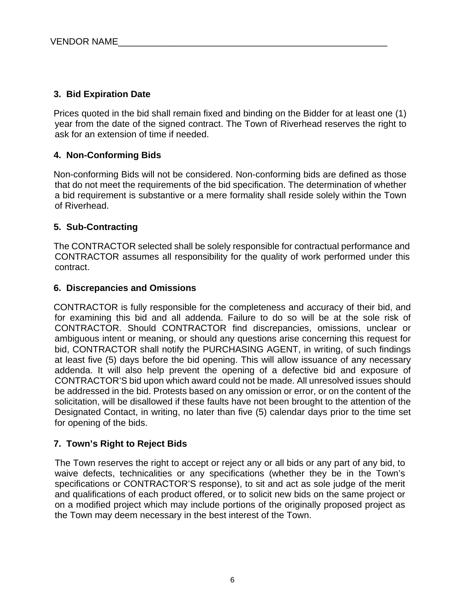# **3. Bid Expiration Date**

Prices quoted in the bid shall remain fixed and binding on the Bidder for at least one (1) year from the date of the signed contract. The Town of Riverhead reserves the right to ask for an extension of time if needed.

# **4. Non-Conforming Bids**

Non-conforming Bids will not be considered. Non-conforming bids are defined as those that do not meet the requirements of the bid specification. The determination of whether a bid requirement is substantive or a mere formality shall reside solely within the Town of Riverhead.

# **5. Sub-Contracting**

The CONTRACTOR selected shall be solely responsible for contractual performance and CONTRACTOR assumes all responsibility for the quality of work performed under this contract.

# **6. Discrepancies and Omissions**

CONTRACTOR is fully responsible for the completeness and accuracy of their bid, and for examining this bid and all addenda. Failure to do so will be at the sole risk of CONTRACTOR. Should CONTRACTOR find discrepancies, omissions, unclear or ambiguous intent or meaning, or should any questions arise concerning this request for bid, CONTRACTOR shall notify the PURCHASING AGENT, in writing, of such findings at least five (5) days before the bid opening. This will allow issuance of any necessary addenda. It will also help prevent the opening of a defective bid and exposure of CONTRACTOR'S bid upon which award could not be made. All unresolved issues should be addressed in the bid. Protests based on any omission or error, or on the content of the solicitation, will be disallowed if these faults have not been brought to the attention of the Designated Contact, in writing, no later than five (5) calendar days prior to the time set for opening of the bids.

# **7. Town's Right to Reject Bids**

The Town reserves the right to accept or reject any or all bids or any part of any bid, to waive defects, technicalities or any specifications (whether they be in the Town's specifications or CONTRACTOR'S response), to sit and act as sole judge of the merit and qualifications of each product offered, or to solicit new bids on the same project or on a modified project which may include portions of the originally proposed project as the Town may deem necessary in the best interest of the Town.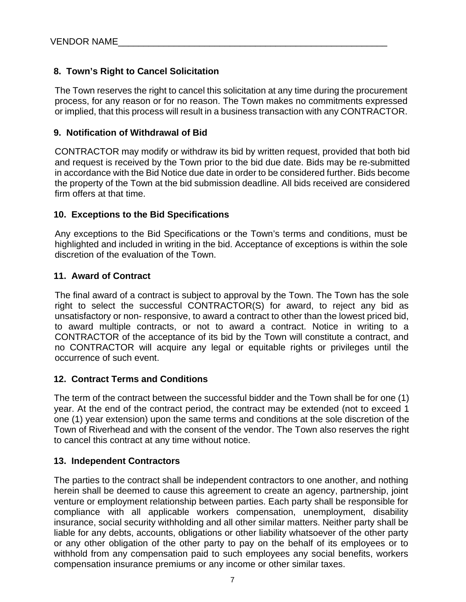# **8. Town's Right to Cancel Solicitation**

The Town reserves the right to cancel this solicitation at any time during the procurement process, for any reason or for no reason. The Town makes no commitments expressed or implied, that this process will result in a business transaction with any CONTRACTOR.

# **9. Notification of Withdrawal of Bid**

CONTRACTOR may modify or withdraw its bid by written request, provided that both bid and request is received by the Town prior to the bid due date. Bids may be re-submitted in accordance with the Bid Notice due date in order to be considered further. Bids become the property of the Town at the bid submission deadline. All bids received are considered firm offers at that time.

### **10. Exceptions to the Bid Specifications**

Any exceptions to the Bid Specifications or the Town's terms and conditions, must be highlighted and included in writing in the bid. Acceptance of exceptions is within the sole discretion of the evaluation of the Town.

### **11. Award of Contract**

The final award of a contract is subject to approval by the Town. The Town has the sole right to select the successful CONTRACTOR(S) for award, to reject any bid as unsatisfactory or non- responsive, to award a contract to other than the lowest priced bid, to award multiple contracts, or not to award a contract. Notice in writing to a CONTRACTOR of the acceptance of its bid by the Town will constitute a contract, and no CONTRACTOR will acquire any legal or equitable rights or privileges until the occurrence of such event.

#### **12. Contract Terms and Conditions**

The term of the contract between the successful bidder and the Town shall be for one (1) year. At the end of the contract period, the contract may be extended (not to exceed 1 one (1) year extension) upon the same terms and conditions at the sole discretion of the Town of Riverhead and with the consent of the vendor. The Town also reserves the right to cancel this contract at any time without notice.

#### **13. Independent Contractors**

The parties to the contract shall be independent contractors to one another, and nothing herein shall be deemed to cause this agreement to create an agency, partnership, joint venture or employment relationship between parties. Each party shall be responsible for compliance with all applicable workers compensation, unemployment, disability insurance, social security withholding and all other similar matters. Neither party shall be liable for any debts, accounts, obligations or other liability whatsoever of the other party or any other obligation of the other party to pay on the behalf of its employees or to withhold from any compensation paid to such employees any social benefits, workers compensation insurance premiums or any income or other similar taxes.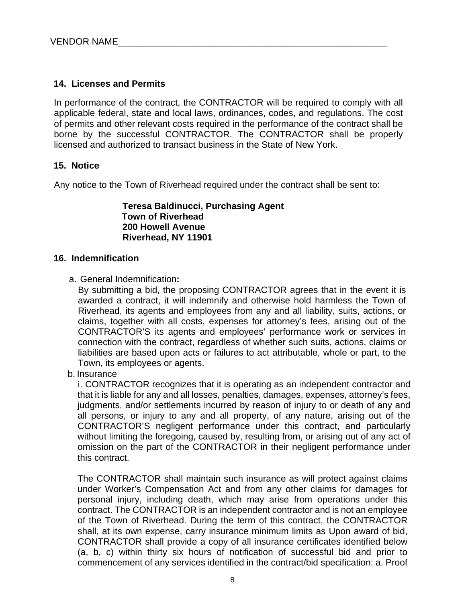# **14. Licenses and Permits**

In performance of the contract, the CONTRACTOR will be required to comply with all applicable federal, state and local laws, ordinances, codes, and regulations. The cost of permits and other relevant costs required in the performance of the contract shall be borne by the successful CONTRACTOR. The CONTRACTOR shall be properly licensed and authorized to transact business in the State of New York.

### **15. Notice**

Any notice to the Town of Riverhead required under the contract shall be sent to:

**Teresa Baldinucci, Purchasing Agent Town of Riverhead 200 Howell Avenue Riverhead, NY 11901** 

#### **16. Indemnification**

a. General Indemnification**:**

By submitting a bid, the proposing CONTRACTOR agrees that in the event it is awarded a contract, it will indemnify and otherwise hold harmless the Town of Riverhead, its agents and employees from any and all liability, suits, actions, or claims, together with all costs, expenses for attorney's fees, arising out of the CONTRACTOR'S its agents and employees' performance work or services in connection with the contract, regardless of whether such suits, actions, claims or liabilities are based upon acts or failures to act attributable, whole or part, to the Town, its employees or agents.

b. Insurance

i. CONTRACTOR recognizes that it is operating as an independent contractor and that it is liable for any and all losses, penalties, damages, expenses, attorney's fees, judgments, and/or settlements incurred by reason of injury to or death of any and all persons, or injury to any and all property, of any nature, arising out of the CONTRACTOR'S negligent performance under this contract, and particularly without limiting the foregoing, caused by, resulting from, or arising out of any act of omission on the part of the CONTRACTOR in their negligent performance under this contract.

The CONTRACTOR shall maintain such insurance as will protect against claims under Worker's Compensation Act and from any other claims for damages for personal injury, including death, which may arise from operations under this contract. The CONTRACTOR is an independent contractor and is not an employee of the Town of Riverhead. During the term of this contract, the CONTRACTOR shall, at its own expense, carry insurance minimum limits as Upon award of bid, CONTRACTOR shall provide a copy of all insurance certificates identified below (a, b, c) within thirty six hours of notification of successful bid and prior to commencement of any services identified in the contract/bid specification: a. Proof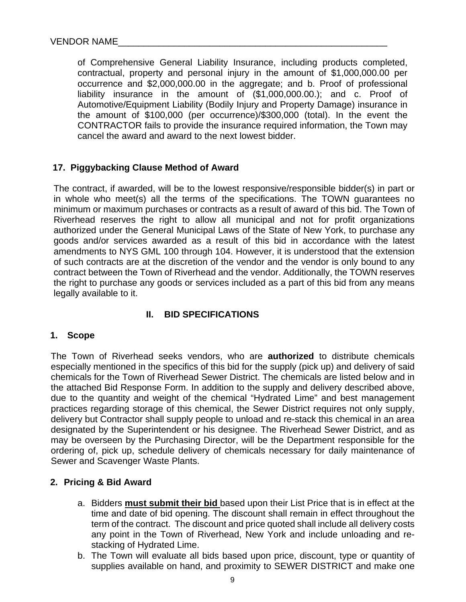of Comprehensive General Liability Insurance, including products completed, contractual, property and personal injury in the amount of \$1,000,000.00 per occurrence and \$2,000,000.00 in the aggregate; and b. Proof of professional liability insurance in the amount of (\$1,000,000.00.); and c. Proof of Automotive/Equipment Liability (Bodily Injury and Property Damage) insurance in the amount of \$100,000 (per occurrence)/\$300,000 (total). In the event the CONTRACTOR fails to provide the insurance required information, the Town may cancel the award and award to the next lowest bidder.

# **17. Piggybacking Clause Method of Award**

The contract, if awarded, will be to the lowest responsive/responsible bidder(s) in part or in whole who meet(s) all the terms of the specifications. The TOWN guarantees no minimum or maximum purchases or contracts as a result of award of this bid. The Town of Riverhead reserves the right to allow all municipal and not for profit organizations authorized under the General Municipal Laws of the State of New York, to purchase any goods and/or services awarded as a result of this bid in accordance with the latest amendments to NYS GML 100 through 104. However, it is understood that the extension of such contracts are at the discretion of the vendor and the vendor is only bound to any contract between the Town of Riverhead and the vendor. Additionally, the TOWN reserves the right to purchase any goods or services included as a part of this bid from any means legally available to it.

# **II. BID SPECIFICATIONS**

#### **1. Scope**

The Town of Riverhead seeks vendors, who are **authorized** to distribute chemicals especially mentioned in the specifics of this bid for the supply (pick up) and delivery of said chemicals for the Town of Riverhead Sewer District. The chemicals are listed below and in the attached Bid Response Form. In addition to the supply and delivery described above, due to the quantity and weight of the chemical "Hydrated Lime" and best management practices regarding storage of this chemical, the Sewer District requires not only supply, delivery but Contractor shall supply people to unload and re-stack this chemical in an area designated by the Superintendent or his designee. The Riverhead Sewer District, and as may be overseen by the Purchasing Director, will be the Department responsible for the ordering of, pick up, schedule delivery of chemicals necessary for daily maintenance of Sewer and Scavenger Waste Plants.

#### **2. Pricing & Bid Award**

- a. Bidders **must submit their bid** based upon their List Price that is in effect at the time and date of bid opening. The discount shall remain in effect throughout the term of the contract. The discount and price quoted shall include all delivery costs any point in the Town of Riverhead, New York and include unloading and restacking of Hydrated Lime.
- b. The Town will evaluate all bids based upon price, discount, type or quantity of supplies available on hand, and proximity to SEWER DISTRICT and make one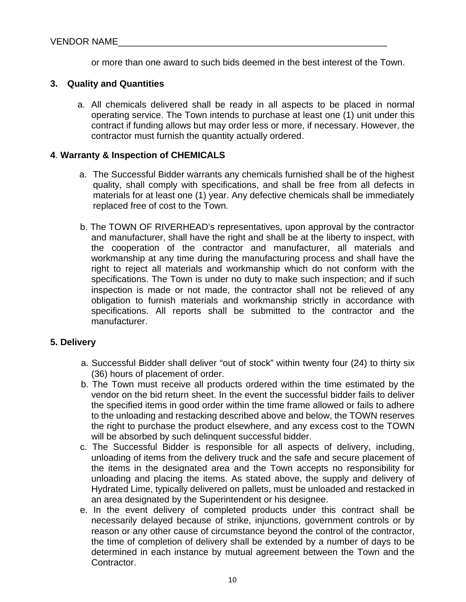or more than one award to such bids deemed in the best interest of the Town.

## **3. Quality and Quantities**

a. All chemicals delivered shall be ready in all aspects to be placed in normal operating service. The Town intends to purchase at least one (1) unit under this contract if funding allows but may order less or more, if necessary. However, the contractor must furnish the quantity actually ordered.

## **4**. **Warranty & Inspection of CHEMICALS**

- a. The Successful Bidder warrants any chemicals furnished shall be of the highest quality, shall comply with specifications, and shall be free from all defects in materials for at least one (1) year. Any defective chemicals shall be immediately replaced free of cost to the Town.
- b. The TOWN OF RIVERHEAD's representatives, upon approval by the contractor and manufacturer, shall have the right and shall be at the liberty to inspect, with the cooperation of the contractor and manufacturer, all materials and workmanship at any time during the manufacturing process and shall have the right to reject all materials and workmanship which do not conform with the specifications. The Town is under no duty to make such inspection; and if such inspection is made or not made, the contractor shall not be relieved of any obligation to furnish materials and workmanship strictly in accordance with specifications. All reports shall be submitted to the contractor and the manufacturer.

#### **5. Delivery**

- a. Successful Bidder shall deliver "out of stock" within twenty four (24) to thirty six (36) hours of placement of order.
- b. The Town must receive all products ordered within the time estimated by the vendor on the bid return sheet. In the event the successful bidder fails to deliver the specified items in good order within the time frame allowed or fails to adhere to the unloading and restacking described above and below, the TOWN reserves the right to purchase the product elsewhere, and any excess cost to the TOWN will be absorbed by such delinquent successful bidder.
- c. The Successful Bidder is responsible for all aspects of delivery, including, unloading of items from the delivery truck and the safe and secure placement of the items in the designated area and the Town accepts no responsibility for unloading and placing the items. As stated above, the supply and delivery of Hydrated Lime, typically delivered on pallets, must be unloaded and restacked in an area designated by the Superintendent or his designee.
- e. In the event delivery of completed products under this contract shall be necessarily delayed because of strike, injunctions, government controls or by reason or any other cause of circumstance beyond the control of the contractor, the time of completion of delivery shall be extended by a number of days to be determined in each instance by mutual agreement between the Town and the Contractor.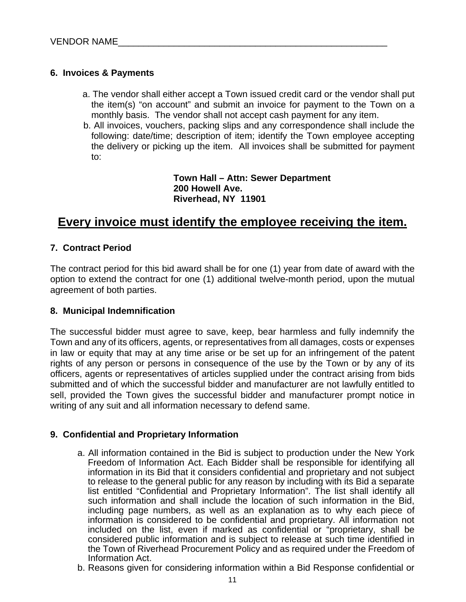# **6. Invoices & Payments**

- a. The vendor shall either accept a Town issued credit card or the vendor shall put the item(s) "on account" and submit an invoice for payment to the Town on a monthly basis. The vendor shall not accept cash payment for any item.
- b. All invoices, vouchers, packing slips and any correspondence shall include the following: date/time; description of item; identify the Town employee accepting the delivery or picking up the item. All invoices shall be submitted for payment to:

**Town Hall – Attn: Sewer Department 200 Howell Ave. Riverhead, NY 11901** 

# **Every invoice must identify the employee receiving the item.**

# **7. Contract Period**

The contract period for this bid award shall be for one (1) year from date of award with the option to extend the contract for one (1) additional twelve-month period, upon the mutual agreement of both parties.

# **8. Municipal Indemnification**

The successful bidder must agree to save, keep, bear harmless and fully indemnify the Town and any of its officers, agents, or representatives from all damages, costs or expenses in law or equity that may at any time arise or be set up for an infringement of the patent rights of any person or persons in consequence of the use by the Town or by any of its officers, agents or representatives of articles supplied under the contract arising from bids submitted and of which the successful bidder and manufacturer are not lawfully entitled to sell, provided the Town gives the successful bidder and manufacturer prompt notice in writing of any suit and all information necessary to defend same.

# **9. Confidential and Proprietary Information**

- a. All information contained in the Bid is subject to production under the New York Freedom of Information Act. Each Bidder shall be responsible for identifying all information in its Bid that it considers confidential and proprietary and not subject to release to the general public for any reason by including with its Bid a separate list entitled "Confidential and Proprietary Information". The list shall identify all such information and shall include the location of such information in the Bid, including page numbers, as well as an explanation as to why each piece of information is considered to be confidential and proprietary. All information not included on the list, even if marked as confidential or "proprietary, shall be considered public information and is subject to release at such time identified in the Town of Riverhead Procurement Policy and as required under the Freedom of Information Act.
- b. Reasons given for considering information within a Bid Response confidential or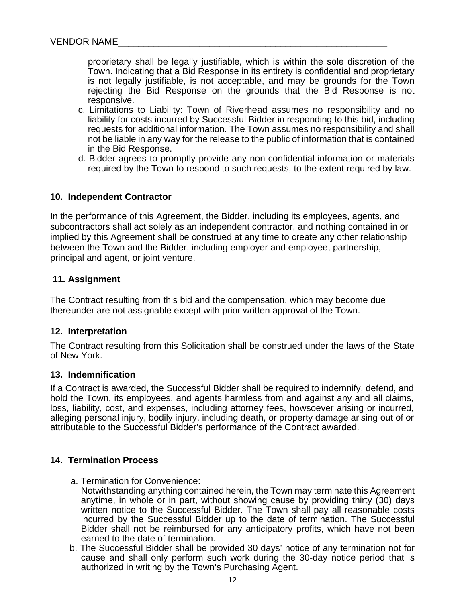proprietary shall be legally justifiable, which is within the sole discretion of the Town. Indicating that a Bid Response in its entirety is confidential and proprietary is not legally justifiable, is not acceptable, and may be grounds for the Town rejecting the Bid Response on the grounds that the Bid Response is not responsive.

- c. Limitations to Liability: Town of Riverhead assumes no responsibility and no liability for costs incurred by Successful Bidder in responding to this bid, including requests for additional information. The Town assumes no responsibility and shall not be liable in any way for the release to the public of information that is contained in the Bid Response.
- d. Bidder agrees to promptly provide any non-confidential information or materials required by the Town to respond to such requests, to the extent required by law.

#### **10. Independent Contractor**

In the performance of this Agreement, the Bidder, including its employees, agents, and subcontractors shall act solely as an independent contractor, and nothing contained in or implied by this Agreement shall be construed at any time to create any other relationship between the Town and the Bidder, including employer and employee, partnership, principal and agent, or joint venture.

### **11. Assignment**

The Contract resulting from this bid and the compensation, which may become due thereunder are not assignable except with prior written approval of the Town.

#### **12. Interpretation**

The Contract resulting from this Solicitation shall be construed under the laws of the State of New York.

#### **13. Indemnification**

If a Contract is awarded, the Successful Bidder shall be required to indemnify, defend, and hold the Town, its employees, and agents harmless from and against any and all claims, loss, liability, cost, and expenses, including attorney fees, howsoever arising or incurred, alleging personal injury, bodily injury, including death, or property damage arising out of or attributable to the Successful Bidder's performance of the Contract awarded.

#### **14. Termination Process**

- a. Termination for Convenience:
- Notwithstanding anything contained herein, the Town may terminate this Agreement anytime, in whole or in part, without showing cause by providing thirty (30) days written notice to the Successful Bidder. The Town shall pay all reasonable costs incurred by the Successful Bidder up to the date of termination. The Successful Bidder shall not be reimbursed for any anticipatory profits, which have not been earned to the date of termination.
- b. The Successful Bidder shall be provided 30 days' notice of any termination not for cause and shall only perform such work during the 30-day notice period that is authorized in writing by the Town's Purchasing Agent.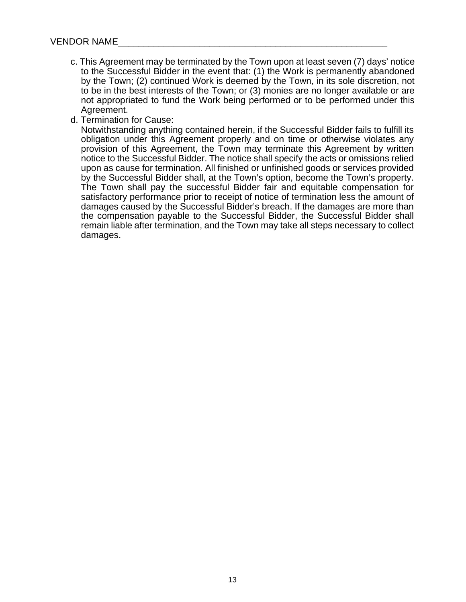- c. This Agreement may be terminated by the Town upon at least seven (7) days' notice to the Successful Bidder in the event that: (1) the Work is permanently abandoned by the Town; (2) continued Work is deemed by the Town, in its sole discretion, not to be in the best interests of the Town; or (3) monies are no longer available or are not appropriated to fund the Work being performed or to be performed under this Agreement.
- d. Termination for Cause:

Notwithstanding anything contained herein, if the Successful Bidder fails to fulfill its obligation under this Agreement properly and on time or otherwise violates any provision of this Agreement, the Town may terminate this Agreement by written notice to the Successful Bidder. The notice shall specify the acts or omissions relied upon as cause for termination. All finished or unfinished goods or services provided by the Successful Bidder shall, at the Town's option, become the Town's property. The Town shall pay the successful Bidder fair and equitable compensation for satisfactory performance prior to receipt of notice of termination less the amount of damages caused by the Successful Bidder's breach. If the damages are more than the compensation payable to the Successful Bidder, the Successful Bidder shall remain liable after termination, and the Town may take all steps necessary to collect damages.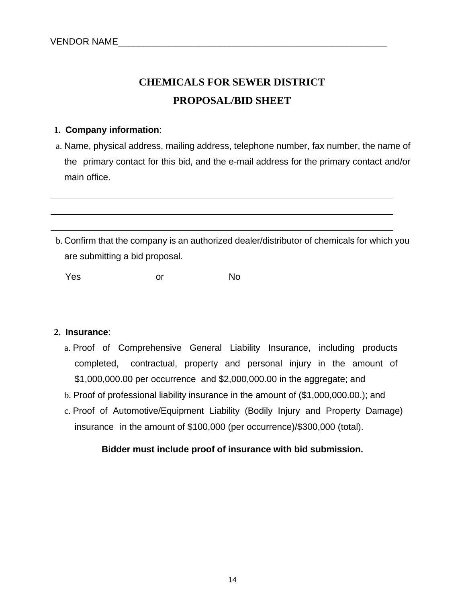# **CHEMICALS FOR SEWER DISTRICT PROPOSAL/BID SHEET**

## **1. Company information**:

- a. Name, physical address, mailing address, telephone number, fax number, the name of the primary contact for this bid, and the e-mail address for the primary contact and/or main office.
- b. Confirm that the company is an authorized dealer/distributor of chemicals for which you are submitting a bid proposal.

Yes or No

#### **2. Insurance**:

- a. Proof of Comprehensive General Liability Insurance, including products completed, contractual, property and personal injury in the amount of \$1,000,000.00 per occurrence and \$2,000,000.00 in the aggregate; and
- b. Proof of professional liability insurance in the amount of (\$1,000,000.00.); and
- c. Proof of Automotive/Equipment Liability (Bodily Injury and Property Damage) insurance in the amount of \$100,000 (per occurrence)/\$300,000 (total).

# **Bidder must include proof of insurance with bid submission.**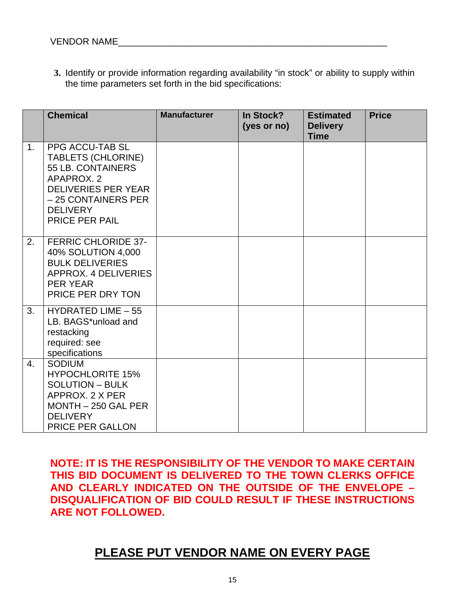**3.** Identify or provide information regarding availability "in stock" or ability to supply within the time parameters set forth in the bid specifications:

|    | <b>Chemical</b>                                                                                                                                                                  | <b>Manufacturer</b> | In Stock?<br>(yes or no) | <b>Estimated</b><br><b>Delivery</b><br><b>Time</b> | <b>Price</b> |
|----|----------------------------------------------------------------------------------------------------------------------------------------------------------------------------------|---------------------|--------------------------|----------------------------------------------------|--------------|
| 1. | PPG ACCU-TAB SL<br><b>TABLETS (CHLORINE)</b><br>55 LB. CONTAINERS<br>APAPROX. 2<br><b>DELIVERIES PER YEAR</b><br>- 25 CONTAINERS PER<br><b>DELIVERY</b><br><b>PRICE PER PAIL</b> |                     |                          |                                                    |              |
| 2. | <b>FERRIC CHLORIDE 37-</b><br>40% SOLUTION 4,000<br><b>BULK DELIVERIES</b><br>APPROX. 4 DELIVERIES<br><b>PER YEAR</b><br>PRICE PER DRY TON                                       |                     |                          |                                                    |              |
| 3. | <b>HYDRATED LIME - 55</b><br>LB. BAGS*unload and<br>restacking<br>required: see<br>specifications                                                                                |                     |                          |                                                    |              |
| 4. | <b>SODIUM</b><br><b>HYPOCHLORITE 15%</b><br><b>SOLUTION - BULK</b><br>APPROX, 2 X PER<br>MONTH - 250 GAL PER<br><b>DELIVERY</b><br><b>PRICE PER GALLON</b>                       |                     |                          |                                                    |              |

**NOTE: IT IS THE RESPONSIBILITY OF THE VENDOR TO MAKE CERTAIN THIS BID DOCUMENT IS DELIVERED TO THE TOWN CLERKS OFFICE AND CLEARLY INDICATED ON THE OUTSIDE OF THE ENVELOPE – DISQUALIFICATION OF BID COULD RESULT IF THESE INSTRUCTIONS ARE NOT FOLLOWED.** 

# **PLEASE PUT VENDOR NAME ON EVERY PAGE**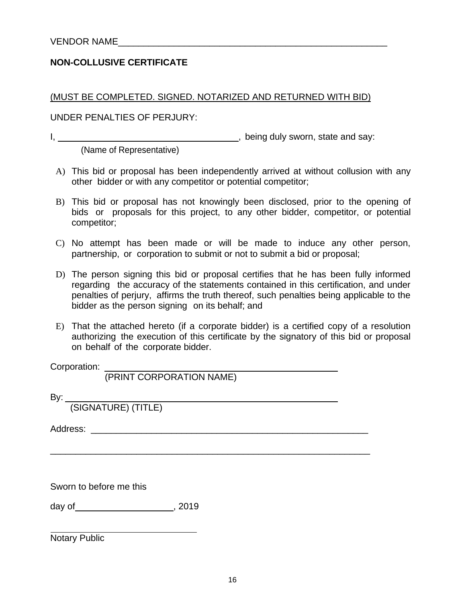# **NON-COLLUSIVE CERTIFICATE**

(MUST BE COMPLETED. SIGNED. NOTARIZED AND RETURNED WITH BID)

UNDER PENALTIES OF PERJURY:

I, \_\_\_\_\_\_\_\_\_, being duly sworn, state and say:

(Name of Representative)

- A) This bid or proposal has been independently arrived at without collusion with any other bidder or with any competitor or potential competitor;
- B) This bid or proposal has not knowingly been disclosed, prior to the opening of bids or proposals for this project, to any other bidder, competitor, or potential competitor;
- C) No attempt has been made or will be made to induce any other person, partnership, or corporation to submit or not to submit a bid or proposal;
- D) The person signing this bid or proposal certifies that he has been fully informed regarding the accuracy of the statements contained in this certification, and under penalties of perjury, affirms the truth thereof, such penalties being applicable to the bidder as the person signing on its behalf; and
- E) That the attached hereto (if a corporate bidder) is a certified copy of a resolution authorizing the execution of this certificate by the signatory of this bid or proposal on behalf of the corporate bidder.

\_\_\_\_\_\_\_\_\_\_\_\_\_\_\_\_\_\_\_\_\_\_\_\_\_\_\_\_\_\_\_\_\_\_\_\_\_\_\_\_\_\_\_\_\_\_\_\_\_\_\_\_\_\_\_\_\_\_\_\_\_\_\_

Corporation:

(PRINT CORPORATION NAME)

By:

(SIGNATURE) (TITLE)

Address: \_\_\_\_\_\_\_\_\_\_\_\_\_\_\_\_\_\_\_\_\_\_\_\_\_\_\_\_\_\_\_\_\_\_\_\_\_\_\_\_\_\_\_\_\_\_\_\_\_\_\_\_\_\_\_

Sworn to before me this

day of , 2019

Notary Public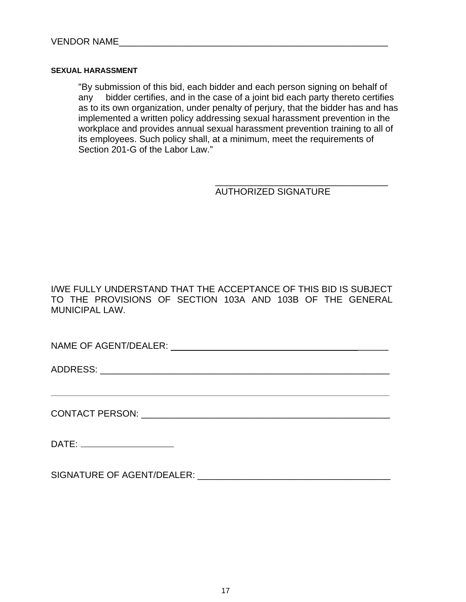#### **SEXUAL HARASSMENT**

"By submission of this bid, each bidder and each person signing on behalf of any bidder certifies, and in the case of a joint bid each party thereto certifies as to its own organization, under penalty of perjury, that the bidder has and has implemented a written policy addressing sexual harassment prevention in the workplace and provides annual sexual harassment prevention training to all of its employees. Such policy shall, at a minimum, meet the requirements of Section 201-G of the Labor Law."

AUTHORIZED SIGNATURE

I/WE FULLY UNDERSTAND THAT THE ACCEPTANCE OF THIS BID IS SUBJECT TO THE PROVISIONS OF SECTION 103A AND 103B OF THE GENERAL MUNICIPAL LAW.

**\_\_\_\_\_\_\_\_\_\_\_\_\_\_\_\_\_\_\_\_\_\_\_\_\_\_\_\_\_\_\_\_\_\_\_\_\_\_\_\_\_\_\_\_\_\_\_\_\_\_\_\_\_\_\_\_\_\_\_\_\_\_\_\_\_\_\_\_\_\_\_\_\_\_\_\_\_\_\_\_** 

 $\overline{\phantom{a}}$  , and the contract of the contract of the contract of the contract of the contract of the contract of the contract of the contract of the contract of the contract of the contract of the contract of the contrac

NAME OF AGENT/DEALER: \_\_\_\_\_\_

ADDRESS: \_\_\_\_\_\_\_\_\_\_\_\_\_\_\_\_\_\_\_\_\_\_\_\_\_\_\_\_\_\_\_\_\_\_\_\_\_\_\_\_\_\_\_\_\_\_\_\_\_\_\_\_\_\_\_\_\_

CONTACT PERSON: \_\_\_\_\_\_\_\_\_\_\_\_\_\_\_\_\_\_\_\_\_\_\_\_\_\_\_\_\_\_\_\_\_\_\_\_\_\_\_\_\_\_\_\_\_\_\_\_\_

DATE:

SIGNATURE OF AGENT/DEALER: \_\_\_\_\_\_\_\_\_\_\_\_\_\_\_\_\_\_\_\_\_\_\_\_\_\_\_\_\_\_\_\_\_\_\_\_\_\_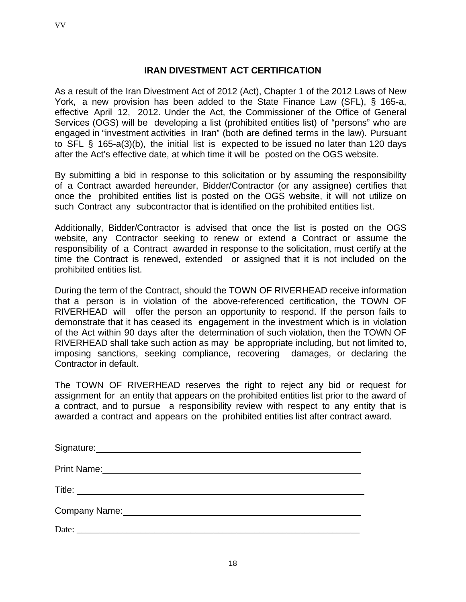VV

# **IRAN DIVESTMENT ACT CERTIFICATION**

As a result of the Iran Divestment Act of 2012 (Act), Chapter 1 of the 2012 Laws of New York, a new provision has been added to the State Finance Law (SFL), § 165-a, effective April 12, 2012. Under the Act, the Commissioner of the Office of General Services (OGS) will be developing a list (prohibited entities list) of "persons" who are engaged in "investment activities in Iran" (both are defined terms in the law). Pursuant to SFL § 165-a(3)(b), the initial list is expected to be issued no later than 120 days after the Act's effective date, at which time it will be posted on the OGS website.

By submitting a bid in response to this solicitation or by assuming the responsibility of a Contract awarded hereunder, Bidder/Contractor (or any assignee) certifies that once the prohibited entities list is posted on the OGS website, it will not utilize on such Contract any subcontractor that is identified on the prohibited entities list.

Additionally, Bidder/Contractor is advised that once the list is posted on the OGS website, any Contractor seeking to renew or extend a Contract or assume the responsibility of a Contract awarded in response to the solicitation, must certify at the time the Contract is renewed, extended or assigned that it is not included on the prohibited entities list.

During the term of the Contract, should the TOWN OF RIVERHEAD receive information that a person is in violation of the above-referenced certification, the TOWN OF RIVERHEAD will offer the person an opportunity to respond. If the person fails to demonstrate that it has ceased its engagement in the investment which is in violation of the Act within 90 days after the determination of such violation, then the TOWN OF RIVERHEAD shall take such action as may be appropriate including, but not limited to, imposing sanctions, seeking compliance, recovering damages, or declaring the Contractor in default.

The TOWN OF RIVERHEAD reserves the right to reject any bid or request for assignment for an entity that appears on the prohibited entities list prior to the award of a contract, and to pursue a responsibility review with respect to any entity that is awarded a contract and appears on the prohibited entities list after contract award.

| <b>Print Name:</b><br><u> 1989 - Andrea Station Barbara, amerikan personal di sebagai personal di sebagai personal di sebagai personal </u> |
|---------------------------------------------------------------------------------------------------------------------------------------------|
|                                                                                                                                             |
| Company Name: Company Name:                                                                                                                 |
| Date:<br><u> 1980 - Jan James Barnett, fransk politik (d. 1980)</u>                                                                         |